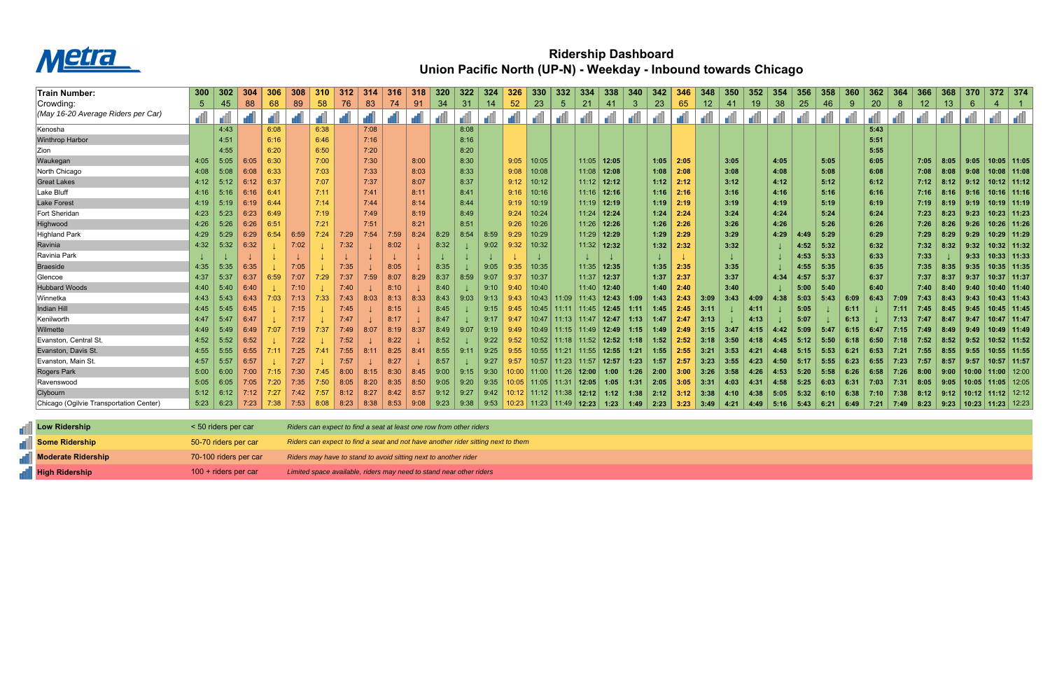

## **Ridership Dashboard Union Pacific North (UP-N) - Weekday - Inbound towards Chicago**

| Train Number:                           | 300            | 302                 | <b>304</b> |      | 308  | 310  |      | 314  | <b>316</b>                                                          | 318  | 320  | 322  | 324  | 326   | 330   | 332                  | -334  | 338         | 340          | 342  |      | -348            | 350  | 352  | 354  | 356     | 358     | 360  | 362  | 364  | 366             | 368   | 370   |               | $372$ 374       |
|-----------------------------------------|----------------|---------------------|------------|------|------|------|------|------|---------------------------------------------------------------------|------|------|------|------|-------|-------|----------------------|-------|-------------|--------------|------|------|-----------------|------|------|------|---------|---------|------|------|------|-----------------|-------|-------|---------------|-----------------|
| Crowding:                               | 5 <sup>5</sup> | 45                  | 88         | 68   | 89   | 58   | 76   | 83   | 74                                                                  | 91   | 34   | 31   | 14   | 52    | 23    | 5                    | 21    | 41          | $\mathbf{3}$ | 23   | 65   | 12 <sub>2</sub> | 41   | 19   | 38   | 25      | 46      | 9    | 20   | 8    | 12 <sub>2</sub> | 13    | 6     |               |                 |
| (May 16-20 Average Riders per Car)      |                |                     |            |      |      |      |      |      |                                                                     |      |      |      |      |       |       |                      |       |             |              |      |      |                 |      |      |      |         |         |      |      |      |                 |       |       |               |                 |
| Kenosha                                 |                | 4:43                |            | 6:08 |      | 6:38 |      | 7:08 |                                                                     |      |      | 8:08 |      |       |       |                      |       |             |              |      |      |                 |      |      |      |         |         |      | 5:43 |      |                 |       |       |               |                 |
| <b>Winthrop Harbor</b>                  |                | 4:51                |            | 6:16 |      | 6:46 |      | 7:16 |                                                                     |      |      | 8:16 |      |       |       |                      |       |             |              |      |      |                 |      |      |      |         |         |      | 5:51 |      |                 |       |       |               |                 |
| Zion                                    |                | 4:55                |            | 6:20 |      | 6:50 |      | 7:20 |                                                                     |      |      | 8:20 |      |       |       |                      |       |             |              |      |      |                 |      |      |      |         |         |      | 5:55 |      |                 |       |       |               |                 |
| Waukegan                                | 4:05           | 5:05                | 6:05       | 6:30 |      | 7:00 |      | 7:30 |                                                                     | 8:00 |      | 8:30 |      | 9:05  | 10:05 |                      |       | 11:05 12:05 |              | 1:05 | 2:05 |                 | 3:05 |      | 4:05 |         | 5:05    |      | 6:05 |      | 7:05            | 8:05  | 9:05  |               | 10:05 11:05     |
| North Chicago                           | 4:08           | 5:08                | 6:08       | 6:33 |      | 7:03 |      | 7:33 |                                                                     | 8:03 |      | 8:33 |      | 9:08  | 10:08 |                      | 11:08 | 12:08       |              | 1:08 | 2:08 |                 | 3:08 |      | 4:08 |         | 5:08    |      | 6:08 |      | 7:08            | 8:08  | 9:08  |               | 10:08 11:08     |
| <b>Great Lakes</b>                      | 4:12           | 5:12                | 6:12       | 6:37 |      | 7:07 |      | 7:37 |                                                                     | 8:07 |      | 8:37 |      | 9:12  | 10:12 |                      | 11:12 | 12:12       |              | 1:12 | 2:12 |                 | 3:12 |      | 4:12 |         | 5:12    |      | 6:12 |      | 7:12            | 8:12  | 9:12  |               | $10:12$   11:12 |
| Lake Bluff                              | 4:16           | 5:16                | 6:16       | 6:41 |      | 7:11 |      | 7:41 |                                                                     | 8:11 |      | 8:41 |      | 9:16  | 10:16 |                      | 11:16 | 12:16       |              | 1:16 | 2:16 |                 | 3:16 |      | 4:16 |         | 5:16    |      | 6:16 |      | 7:16            | 8:16  | 9:16  | 10:16 11:16   |                 |
| Lake Forest                             | 4:19           | 5:19                | 6:19       | 6:44 |      | 7:14 |      | 7:44 |                                                                     | 8:14 |      | 8:44 |      | 9:19  | 10:19 |                      | 11:19 | 12:19       |              | 1:19 | 2:19 |                 | 3:19 |      | 4:19 |         | 5:19    |      | 6:19 |      | 7:19            | 8:19  | 9:19  |               | $10:19$ 11:19   |
| Fort Sheridan                           | 4:23           | 5:23                | 6:23       | 6:49 |      | 7:19 |      | 7:49 |                                                                     | 8:19 |      | 8:49 |      | 9:24  | 10:24 |                      | 11:24 | 12:24       |              | 1:24 | 2:24 |                 | 3:24 |      | 4:24 |         | 5:24    |      | 6:24 |      | 7:23            | 8:23  | 9:23  |               | 10:23 11:23     |
| Highwood                                | 4:26           | 5:26                | 6:26       | 6:51 |      | 7:21 |      | 7:51 |                                                                     | 8:21 |      | 8:51 |      | 9:26  | 10:26 |                      | 11:26 | 12:26       |              | 1:26 | 2:26 |                 | 3:26 |      | 4:26 |         | 5:26    |      | 6:26 |      | 7:26            | 8:26  | 9:26  |               | 10:26   11:26   |
| Highland Park                           | 4:29           | 5:29                | 6:29       | 6:54 | 6:59 | 7:24 | 7:29 | 7:54 | 7:59                                                                | 8:24 | 8:29 | 8:54 | 8:59 | 9:29  | 10:29 |                      | 11:29 | 12:29       |              | 1:29 | 2:29 |                 | 3:29 |      | 4:29 | 4:49    | 5:29    |      | 6:29 |      | 7:29            | 8:29  | 9:29  |               | 10:29 11:29     |
| Ravinia                                 | 4:32           | 5:32                | 6:32       |      | 7:02 |      | 7:32 |      | 8:02                                                                |      | 8:32 |      | 9:02 | 9:32  | 10:32 |                      | 11:32 | 12:32       |              | 1:32 | 2:32 |                 | 3:32 |      |      | 4:52    | 5:32    |      | 6:32 |      | 7:32            | 8:32  | 9:32  |               | $10:32$   11:32 |
| Ravinia Park                            |                |                     |            |      |      |      |      |      |                                                                     |      |      |      |      |       |       |                      |       |             |              |      |      |                 |      |      |      | 4:53    | 5:33    |      | 6:33 |      | 7:33            |       | 9:33  |               | $10:33$   11:33 |
| Braeside                                | 4:35           | 5:35                | 6:35       |      | 7:05 |      | 7:35 |      | 8:05                                                                |      | 8:35 |      | 9:05 | 9:35  | 10:35 |                      | 11:35 | 12:35       |              | 1:35 | 2:35 |                 | 3:35 |      |      | 4:55    | 5:35    |      | 6:35 |      | 7:35            | 8:35  | 9:35  |               | 10:35   11:35   |
| Glencoe                                 | 4:37           | 5:37                | 6:37       | 6:59 | 7:07 | 7:29 | 7:37 | 7:59 | 8:07                                                                | 8:29 | 8:37 | 8:59 | 9:07 | 9:37  | 10:37 |                      | 11:37 | 12:37       |              | 1:37 | 2:37 |                 | 3:37 |      | 4:34 | 4:57    | 5:37    |      | 6:37 |      | 7:37            | 8:37  | 9:37  |               | 10:37 11:37     |
| <b>Hubbard Woods</b>                    | 4:40           | 5:40                | 6:40       |      | 7:10 |      | 7:40 |      | 8:1                                                                 |      | 8:40 |      | 9:10 | 9:40  | 10:40 |                      | 11:40 | 12:40       |              | 1:40 | 2:40 |                 | 3:40 |      |      | 5:00    | 5:40    |      | 6:40 |      | 7:40            | 8:40  | 9:40  |               | $10:40$   11:40 |
| ∣Winnetka                               | 4:43           | 5:43                | 6:43       | 7:03 | 7:13 |      | 7:43 | 8:03 | 8:13                                                                | 8:33 | 8:43 | 9:03 | 9:13 | 9:43  | 10:43 |                      | 11:43 | 12:43       | 1:09         | l:43 | 2:43 | -3:09           | 3:43 | 4:09 | 4:38 | 5:03    | 5:43    | 6:09 | 6:43 | 7:09 | 7:43            | 8:43  | 9:43  |               | 10:43   11:43   |
| Indian Hill                             | 4:45           | 5:45                | 6:45       |      | 7:15 |      | 7:45 |      | 8:15                                                                |      | 8:45 |      | 9:15 | 9:45  | 10:45 | 11:11                | 11:45 | 12:45       | 1:11         | 1:45 | 2:45 | -3:11           |      | 4:11 |      | 5:05    |         | 6:11 |      | 7:11 | 7:45            | -8:45 | 9:45  |               | 10:45 11:45     |
| Kenilworth                              | 4:47           | 5:47                | 6:47       |      | 7:17 |      | 7:47 |      | 8:17                                                                |      | 8:47 |      | 9:17 | 9:47  | 10:47 |                      | 11:47 | 12:47       | 1:13         | 1:47 | 2:47 | -3:13           |      | 4:13 |      | 5:07    |         | 6:13 |      | 7:13 | 7:47            | 8:47  | 9:47  |               | $10:47$   11:47 |
| Wilmette                                | 4:49           | 5:49                | 6:49       | 7:07 | 7:19 | 7:37 | 7:49 | 8:07 | 8:19                                                                | 8:37 | 8:49 | 9:07 | 9:19 | 9:49  | 10:49 | 11:15                | 11:49 | 12:49       |              | 1:49 | 2.49 | 3:15            | 3:47 | 4:15 | 4:42 | 5:09    |         | 6:15 | 6:47 | 7:15 | 7:49            | 8:49  | 9:49  |               | $10:49$   11:49 |
| Evanston, Central St.                   | 4:52           | 5:52                | 6:52       |      | 7:22 |      | 7:52 |      | 8:22                                                                |      | 8:52 |      | 9:22 | 9:52  | 10:52 | 11:18 I              | 11:52 | 12:52       | 1:18         | 1:52 | 2:52 | -3:18           | 3:50 | 4:18 | 4:45 | $-5:12$ | $-5:50$ | 6:18 | 6:50 | 7:18 | 7:52            | 8:52  | 9:52  |               | 10:52   11:52   |
| Evanston, Davis St.                     | 4:55           | 5:55                | 6:55       |      | 7:25 | 7:41 | 7:55 | 8:11 | 8:25                                                                | 8:41 | 8:55 | 9:11 | 9:25 | 9:55  | 10:55 | 11:21                | 11:55 | 12:55       | 1:21         | 1:55 | 2:55 | 3:21            | 3:53 | 4:21 | 4:48 | 5:15    | 5:53    | 6:21 | 6:53 | 7:21 | 7:55            | 8:55  | 9:55  |               | $10:55$   11:55 |
| Evanston, Main St.                      | 4:57           | 5:57                | 6:57       |      | 7:27 |      | 7:57 |      | 8:27                                                                |      | 8:57 |      | 9:27 | 9:57  | 10:57 | 11:23                | 11:57 | 12:57       | 1:23         | 1:57 | 2:57 | 3:23            | 3:55 | 4:23 | 4:50 | 5:17    | 5:55    | 6:23 | 6:55 | 7:23 | 7:57            | 8:57  | 9:57  |               | $10:57$   11:57 |
| Rogers Park                             | 5:00           | 6:00                | 7:00       |      | 7:30 |      | 8:00 | 8:15 | 8:30                                                                | 8:45 | 9:00 | 9:15 | 9:30 | 10:00 | 11:00 | 11:26                | 12:00 | 1:00        | 1:26         | 2:00 | 3:00 | 3:26            | 3:58 | 4:26 | 4:53 | 5:20    | 5:58    | 6:26 | 6:58 | 7:26 | 8:00            | 9:00  | 10:00 |               | 1:00 │ 12:00    |
| Ravenswood                              | 5:05           | 6:05                | 7:05       | 7:20 | 7:35 | 7:50 | 8:05 | 8:20 | 8:35                                                                | 8:50 | 9:05 | 9:20 | 9:35 | 10:05 | 11:05 | -11:31               | 12:05 | 1:05        | 1:31         | 2:05 | 3:05 | 3:31            | 4:03 | 4:31 | 4:58 | 5:25    | 6:03    | 6:31 | 7:03 | 7:31 | 8:05            | 9:05  | 10:05 |               | $11:05$ 12:05   |
| Clybourn                                | 5:12           | 6:12                | 7:12       |      | 7:42 | 7:57 | 8:12 | 8:27 | 8:42                                                                | 8:57 | 9:12 | 9:27 | 9:42 |       | 11:12 | 11:38                | 12:12 | 1:12        | 1:38         | 2:12 |      | 3:38            | 4:10 | 4:38 | 5:05 | 5:32    | 6:10    | 6:38 | 7:10 | 7:38 | 8:12            | 9:12  | 10:12 |               | $11:12$ 12:12   |
| Chicago (Ogilvie Transportation Center) | 5:23           | 6:23                | 7:23       | 7:38 | 7:53 | 8:08 | 8:23 | 8:38 | 8:53                                                                | 9:08 | 9:23 | 9:38 | 9:53 | 10:23 | 11:23 | 11:49   <b>12:23</b> |       | 1:23        | 1:49         | 2:23 | 3:23 | 3:49            | 4:21 | 4:49 | 5:16 | 5:43    | 6:21    | 6:49 | 7:21 | 7:49 | 8:23            | 9:23  | 10:23 | $11:23$ 12:23 |                 |
| <b>Low Ridership</b>                    |                | < 50 riders per car |            |      |      |      |      |      | Riders can expect to find a seat at least one row from other riders |      |      |      |      |       |       |                      |       |             |              |      |      |                 |      |      |      |         |         |      |      |      |                 |       |       |               |                 |

| <sub>■</sub> Low Ridership    | < 50 riders per car    | Riders can expect to find a seat at least one row from other riders              |
|-------------------------------|------------------------|----------------------------------------------------------------------------------|
| <b>Some Ridership</b>         | 50-70 riders per car   | Riders can expect to find a seat and not have another rider sitting next to them |
| <b>THE Moderate Ridership</b> | 70-100 riders per car  | Riders may have to stand to avoid sitting next to another rider                  |
| <b>THE High Ridership</b>     | $100 +$ riders per car | Limited space available, riders may need to stand near other riders              |